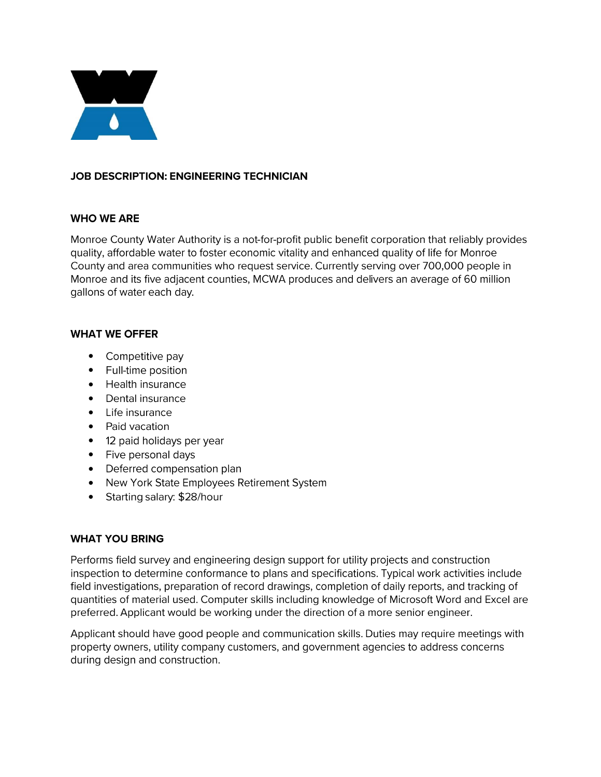

# **JOB DESCRIPTION: ENGINEERING TECHNICIAN**

### **WHO WEARE**

Monroe County Water Authority is a not-for-profit public benefit corporation that reliably provides quality, affordable water to foster economic vitality and enhanced quality of life for Monroe County and area communities who request service. Currently serving over 700,000 people in Monroe and its five adjacent counties, MCWA produces and delivers an average of 60 million gallons of water each day.

#### **WHAT WE OFFER**

- Competitive pay
- Full-time position
- Health insurance
- Dental insurance
- Life insurance
- Paid vacation
- **12** paid holidays per year
- Five personal days
- Deferred compensation plan
- New York State Employees Retirement System
- Starting salary: \$28/hour

# **WHAT YOU BRING**

Performs field survey and engineering design support for utility projects and construction inspection to determine conformance to plans and specifications. Typical work activities include field investigations, preparation of record drawings, completion of daily reports, and tracking of quantities of material used. Computer skills including knowledge of Microsoft Word and Excel are preferred. Applicant would be working under the direction of a more senior engineer.

Applicant should have good people and communication skills. Duties may require meetings with property owners, utility company customers, and government agencies to address concerns during design and construction.